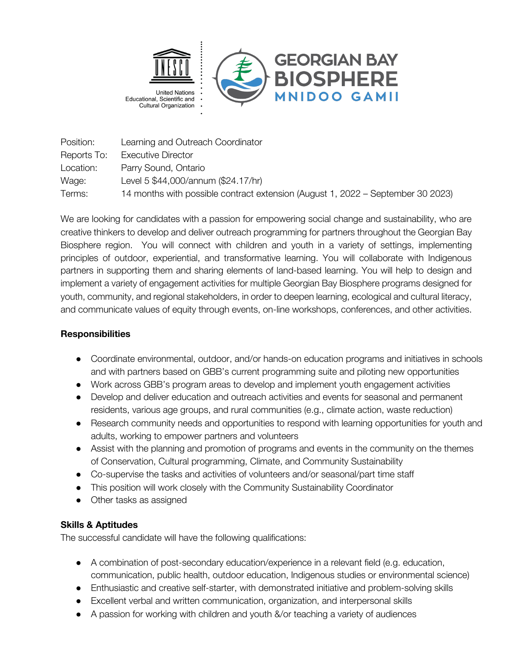

Position: Learning and Outreach Coordinator Reports To: Executive Director Location: Parry Sound, Ontario Wage: Level 5 \$44,000/annum (\$24.17/hr) Terms: 14 months with possible contract extension (August 1, 2022 – September 30 2023)

We are looking for candidates with a passion for empowering social change and sustainability, who are creative thinkers to develop and deliver outreach programming for partners throughout the Georgian Bay Biosphere region. You will connect with children and youth in a variety of settings, implementing principles of outdoor, experiential, and transformative learning. You will collaborate with Indigenous partners in supporting them and sharing elements of land-based learning. You will help to design and implement a variety of engagement activities for multiple Georgian Bay Biosphere programs designed for youth, community, and regional stakeholders, in order to deepen learning, ecological and cultural literacy, and communicate values of equity through events, on-line workshops, conferences, and other activities.

## **Responsibilities**

- Coordinate environmental, outdoor, and/or hands-on education programs and initiatives in schools and with partners based on GBB's current programming suite and piloting new opportunities
- Work across GBB's program areas to develop and implement youth engagement activities
- Develop and deliver education and outreach activities and events for seasonal and permanent residents, various age groups, and rural communities (e.g., climate action, waste reduction)
- Research community needs and opportunities to respond with learning opportunities for youth and adults, working to empower partners and volunteers
- Assist with the planning and promotion of programs and events in the community on the themes of Conservation, Cultural programming, Climate, and Community Sustainability
- Co-supervise the tasks and activities of volunteers and/or seasonal/part time staff
- This position will work closely with the Community Sustainability Coordinator
- Other tasks as assigned

## **Skills & Aptitudes**

The successful candidate will have the following qualifications:

- A combination of post-secondary education/experience in a relevant field (e.g. education, communication, public health, outdoor education, Indigenous studies or environmental science)
- Enthusiastic and creative self-starter, with demonstrated initiative and problem-solving skills
- Excellent verbal and written communication, organization, and interpersonal skills
- A passion for working with children and youth &/or teaching a variety of audiences